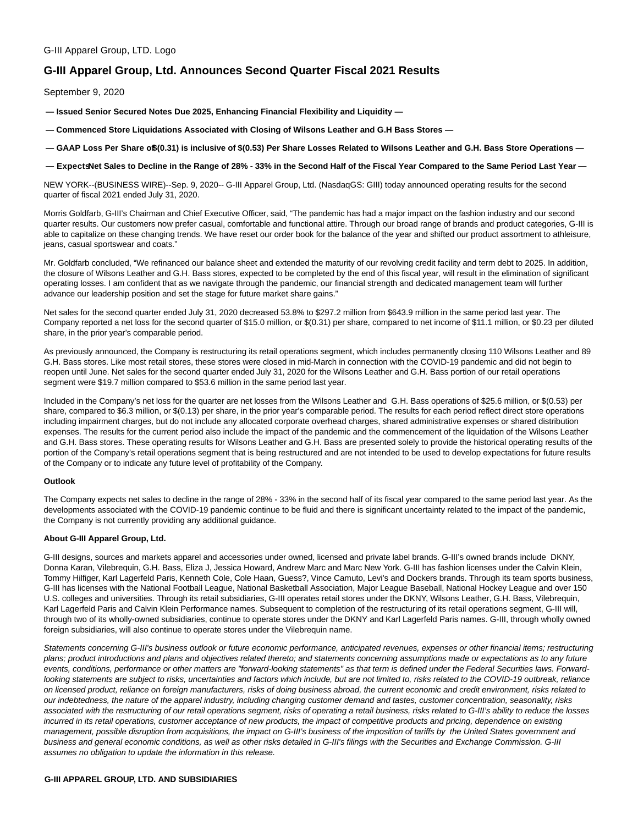# **G-III Apparel Group, Ltd. Announces Second Quarter Fiscal 2021 Results**

September 9, 2020

**— Issued Senior Secured Notes Due 2025, Enhancing Financial Flexibility and Liquidity —**

- **Commenced Store Liquidations Associated with Closing of Wilsons Leather and G.H Bass Stores —**
- **GAAP Loss Per Share of \$(0.31) is inclusive of \$(0.53) Per Share Losses Related to Wilsons Leather and G.H. Bass Store Operations —**

**— Expects Net Sales to Decline in the Range of 28% - 33% in the Second Half of the Fiscal Year Compared to the Same Period Last Year —**

NEW YORK--(BUSINESS WIRE)--Sep. 9, 2020-- G-III Apparel Group, Ltd. (NasdaqGS: GIII) today announced operating results for the second quarter of fiscal 2021 ended July 31, 2020.

Morris Goldfarb, G-III's Chairman and Chief Executive Officer, said, "The pandemic has had a major impact on the fashion industry and our second quarter results. Our customers now prefer casual, comfortable and functional attire. Through our broad range of brands and product categories, G-III is able to capitalize on these changing trends. We have reset our order book for the balance of the year and shifted our product assortment to athleisure, jeans, casual sportswear and coats."

Mr. Goldfarb concluded, "We refinanced our balance sheet and extended the maturity of our revolving credit facility and term debt to 2025. In addition, the closure of Wilsons Leather and G.H. Bass stores, expected to be completed by the end of this fiscal year, will result in the elimination of significant operating losses. I am confident that as we navigate through the pandemic, our financial strength and dedicated management team will further advance our leadership position and set the stage for future market share gains."

Net sales for the second quarter ended July 31, 2020 decreased 53.8% to \$297.2 million from \$643.9 million in the same period last year. The Company reported a net loss for the second quarter of \$15.0 million, or \$(0.31) per share, compared to net income of \$11.1 million, or \$0.23 per diluted share, in the prior year's comparable period.

As previously announced, the Company is restructuring its retail operations segment, which includes permanently closing 110 Wilsons Leather and 89 G.H. Bass stores. Like most retail stores, these stores were closed in mid-March in connection with the COVID-19 pandemic and did not begin to reopen until June. Net sales for the second quarter ended July 31, 2020 for the Wilsons Leather and G.H. Bass portion of our retail operations segment were \$19.7 million compared to \$53.6 million in the same period last year.

Included in the Company's net loss for the quarter are net losses from the Wilsons Leather and G.H. Bass operations of \$25.6 million, or \$(0.53) per share, compared to \$6.3 million, or \$(0.13) per share, in the prior year's comparable period. The results for each period reflect direct store operations including impairment charges, but do not include any allocated corporate overhead charges, shared administrative expenses or shared distribution expenses. The results for the current period also include the impact of the pandemic and the commencement of the liquidation of the Wilsons Leather and G.H. Bass stores. These operating results for Wilsons Leather and G.H. Bass are presented solely to provide the historical operating results of the portion of the Company's retail operations segment that is being restructured and are not intended to be used to develop expectations for future results of the Company or to indicate any future level of profitability of the Company.

#### **Outlook**

The Company expects net sales to decline in the range of 28% - 33% in the second half of its fiscal year compared to the same period last year. As the developments associated with the COVID-19 pandemic continue to be fluid and there is significant uncertainty related to the impact of the pandemic, the Company is not currently providing any additional guidance.

### **About G-III Apparel Group, Ltd.**

G-III designs, sources and markets apparel and accessories under owned, licensed and private label brands. G-III's owned brands include DKNY, Donna Karan, Vilebrequin, G.H. Bass, Eliza J, Jessica Howard, Andrew Marc and Marc New York. G-III has fashion licenses under the Calvin Klein, Tommy Hilfiger, Karl Lagerfeld Paris, Kenneth Cole, Cole Haan, Guess?, Vince Camuto, Levi's and Dockers brands. Through its team sports business, G-III has licenses with the National Football League, National Basketball Association, Major League Baseball, National Hockey League and over 150 U.S. colleges and universities. Through its retail subsidiaries, G-III operates retail stores under the DKNY, Wilsons Leather, G.H. Bass, Vilebrequin, Karl Lagerfeld Paris and Calvin Klein Performance names. Subsequent to completion of the restructuring of its retail operations segment, G-III will, through two of its wholly-owned subsidiaries, continue to operate stores under the DKNY and Karl Lagerfeld Paris names. G-III, through wholly owned foreign subsidiaries, will also continue to operate stores under the Vilebrequin name.

Statements concerning G-III's business outlook or future economic performance, anticipated revenues, expenses or other financial items; restructuring plans; product introductions and plans and objectives related thereto; and statements concerning assumptions made or expectations as to any future events, conditions, performance or other matters are "forward-looking statements" as that term is defined under the Federal Securities laws. Forwardlooking statements are subject to risks, uncertainties and factors which include, but are not limited to, risks related to the COVID-19 outbreak, reliance on licensed product, reliance on foreign manufacturers, risks of doing business abroad, the current economic and credit environment, risks related to our indebtedness, the nature of the apparel industry, including changing customer demand and tastes, customer concentration, seasonality, risks associated with the restructuring of our retail operations segment, risks of operating a retail business, risks related to G-III's ability to reduce the losses incurred in its retail operations, customer acceptance of new products, the impact of competitive products and pricing, dependence on existing management, possible disruption from acquisitions, the impact on G-III's business of the imposition of tariffs by the United States government and business and general economic conditions, as well as other risks detailed in G-III's filings with the Securities and Exchange Commission. G-III assumes no obligation to update the information in this release.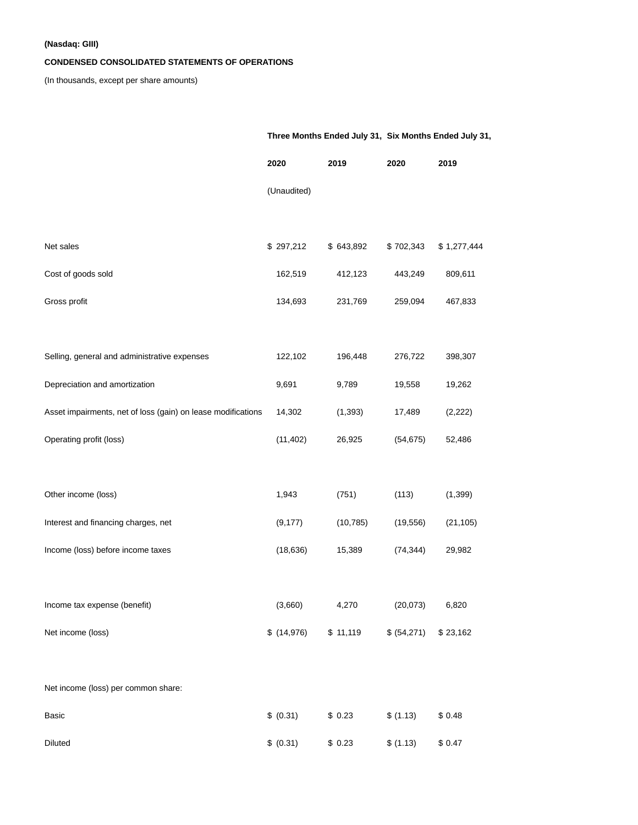## **(Nasdaq: GIII)**

## **CONDENSED CONSOLIDATED STATEMENTS OF OPERATIONS**

(In thousands, except per share amounts)

|                                                              | Three Months Ended July 31, Six Months Ended July 31, |           |             |             |
|--------------------------------------------------------------|-------------------------------------------------------|-----------|-------------|-------------|
|                                                              | 2020                                                  | 2019      | 2020        | 2019        |
|                                                              | (Unaudited)                                           |           |             |             |
|                                                              |                                                       |           |             |             |
| Net sales                                                    | \$297,212                                             | \$643,892 | \$702,343   | \$1,277,444 |
| Cost of goods sold                                           | 162,519                                               | 412,123   | 443,249     | 809,611     |
| Gross profit                                                 | 134,693                                               | 231,769   | 259,094     | 467,833     |
|                                                              |                                                       |           |             |             |
| Selling, general and administrative expenses                 | 122,102                                               | 196,448   | 276,722     | 398,307     |
| Depreciation and amortization                                | 9,691                                                 | 9,789     | 19,558      | 19,262      |
| Asset impairments, net of loss (gain) on lease modifications | 14,302                                                | (1, 393)  | 17,489      | (2, 222)    |
| Operating profit (loss)                                      | (11, 402)                                             | 26,925    | (54, 675)   | 52,486      |
|                                                              |                                                       |           |             |             |
| Other income (loss)                                          | 1,943                                                 | (751)     | (113)       | (1, 399)    |
| Interest and financing charges, net                          | (9, 177)                                              | (10, 785) | (19, 556)   | (21, 105)   |
| Income (loss) before income taxes                            | (18, 636)                                             | 15,389    | (74, 344)   | 29,982      |
|                                                              |                                                       |           |             |             |
| Income tax expense (benefit)                                 | (3,660)                                               | 4,270     | (20, 073)   | 6,820       |
| Net income (loss)                                            | \$(14,976)                                            | \$11,119  | \$ (54,271) | \$23,162    |
|                                                              |                                                       |           |             |             |
| Net income (loss) per common share:                          |                                                       |           |             |             |
| Basic                                                        | \$ (0.31)                                             | \$0.23    | \$ (1.13)   | \$0.48      |
| Diluted                                                      | \$ (0.31)                                             | \$0.23    | \$(1.13)    | \$0.47      |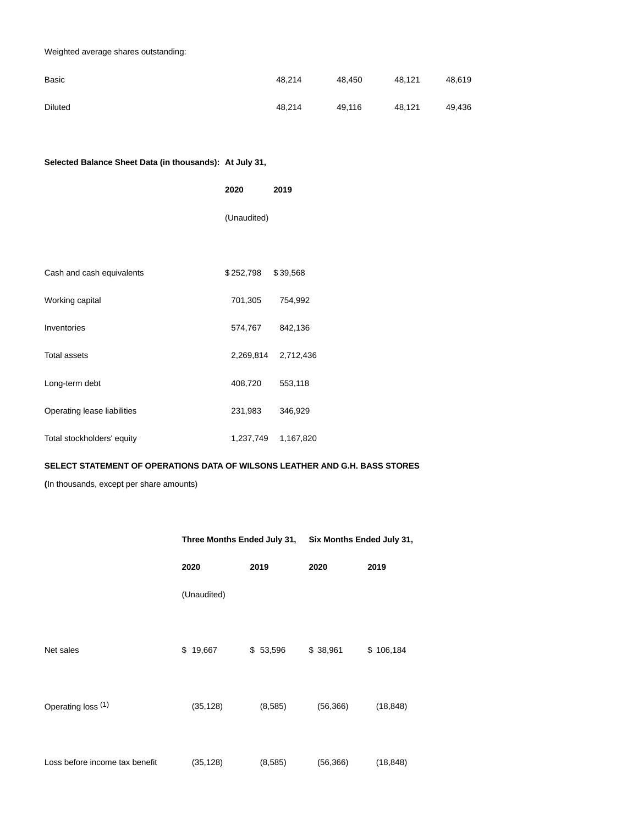## Weighted average shares outstanding:

| Basic          | 48.214 | 48.450 | 48.121 | 48.619 |
|----------------|--------|--------|--------|--------|
| <b>Diluted</b> | 48.214 | 49.116 | 48.121 | 49.436 |

## **Selected Balance Sheet Data (in thousands): At July 31,**

|                             | 2020        | 2019      |  |
|-----------------------------|-------------|-----------|--|
|                             | (Unaudited) |           |  |
|                             |             |           |  |
| Cash and cash equivalents   | \$252,798   | \$39,568  |  |
| Working capital             | 701,305     | 754,992   |  |
| Inventories                 | 574,767     | 842,136   |  |
| <b>Total assets</b>         | 2,269,814   | 2,712,436 |  |
| Long-term debt              | 408,720     | 553,118   |  |
| Operating lease liabilities | 231,983     | 346,929   |  |
| Total stockholders' equity  | 1,237,749   | 1,167,820 |  |

## **SELECT STATEMENT OF OPERATIONS DATA OF WILSONS LEATHER AND G.H. BASS STORES**

**(**In thousands, except per share amounts)

|                                | Three Months Ended July 31, Six Months Ended July 31, |          |           |           |
|--------------------------------|-------------------------------------------------------|----------|-----------|-----------|
|                                | 2020                                                  | 2019     | 2020      | 2019      |
|                                | (Unaudited)                                           |          |           |           |
| Net sales                      | \$19,667                                              | \$53,596 | \$38,961  | \$106,184 |
| Operating loss (1)             | (35, 128)                                             | (8,585)  | (56, 366) | (18, 848) |
| Loss before income tax benefit | (35, 128)                                             | (8,585)  | (56, 366) | (18, 848) |